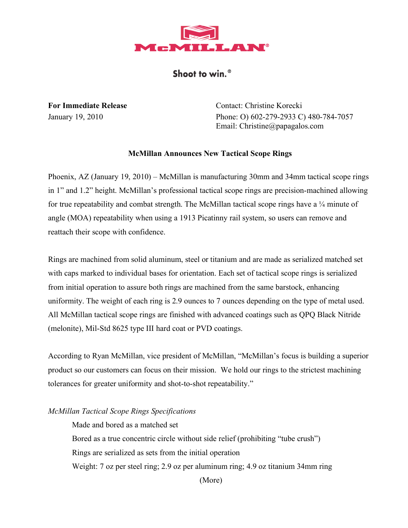

## Shoot to win.<sup>®</sup>

**For Immediate Release** Contact: Christine Korecki January 19, 2010 Phone: O) 602-279-2933 C) 480-784-7057 Email: Christine@papagalos.com

## **McMillan Announces New Tactical Scope Rings**

Phoenix, AZ (January 19, 2010) – McMillan is manufacturing 30mm and 34mm tactical scope rings in 1" and 1.2" height. McMillan's professional tactical scope rings are precision-machined allowing for true repeatability and combat strength. The McMillan tactical scope rings have a  $\frac{1}{4}$  minute of angle (MOA) repeatability when using a 1913 Picatinny rail system, so users can remove and reattach their scope with confidence.

Rings are machined from solid aluminum, steel or titanium and are made as serialized matched set with caps marked to individual bases for orientation. Each set of tactical scope rings is serialized from initial operation to assure both rings are machined from the same barstock, enhancing uniformity. The weight of each ring is 2.9 ounces to 7 ounces depending on the type of metal used. All McMillan tactical scope rings are finished with advanced coatings such as QPQ Black Nitride (melonite), Mil-Std 8625 type III hard coat or PVD coatings.

According to Ryan McMillan, vice president of McMillan, "McMillan's focus is building a superior product so our customers can focus on their mission. We hold our rings to the strictest machining tolerances for greater uniformity and shot-to-shot repeatability."

## *McMillan Tactical Scope Rings Specifications*

Made and bored as a matched set Bored as a true concentric circle without side relief (prohibiting "tube crush") Rings are serialized as sets from the initial operation Weight: 7 oz per steel ring; 2.9 oz per aluminum ring; 4.9 oz titanium 34mm ring

(More)